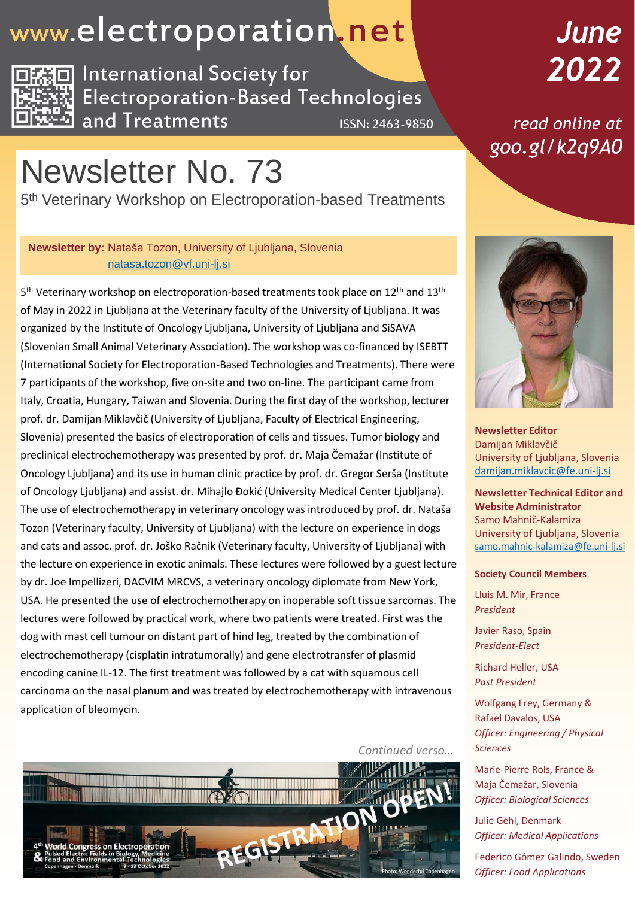## www.electroporation.net



**International Society for Electroporation-Based Technologies** and Treatments **ISSN: 2463-9850** 

## Newsletter No. 73

5<sup>th</sup> Veterinary Workshop on Electroporation-based Treatments

#### **Newsletter by:** Nataša Tozon, University of Ljubljana, Slovenia [natasa.tozon@vf.uni-lj.si](mailto:natasa.tozon@vf.uni-lj.si)

5<sup>th</sup> Veterinary workshop on electroporation-based treatments took place on 12<sup>th</sup> and 13<sup>th</sup> of May in 2022 in Ljubljana at the Veterinary faculty of the University of Ljubljana. It was organized by the Institute of Oncology Ljubljana, University of Ljubljana and SiSAVA (Slovenian Small Animal Veterinary Association). The workshop was co-financed by ISEBTT (International Society for Electroporation-Based Technologies and Treatments). There were 7 participants of the workshop, five on-site and two on-line. The participant came from Italy, Croatia, Hungary, Taiwan and Slovenia. During the first day of the workshop, lecturer prof. dr. Damijan Miklavčič (University of Ljubljana, Faculty of Electrical Engineering, Slovenia) presented the basics of electroporation of cells and tissues. Tumor biology and preclinical electrochemotherapy was presented by prof. dr. Maja Čemažar (Institute of Oncology Ljubljana) and its use in human clinic practice by prof. dr. Gregor Serša (Institute of Oncology Ljubljana) and assist. dr. Mihajlo Đokić (University Medical Center Ljubljana). The use of electrochemotherapy in veterinary oncology was introduced by prof. dr. Nataša Tozon (Veterinary faculty, University of Ljubljana) with the lecture on experience in dogs and cats and assoc. prof. dr. Joško Račnik (Veterinary faculty, University of Ljubljana) with the lecture on experience in exotic animals. These lectures were followed by a guest lecture by dr. Joe Impellizeri, DACVIM MRCVS, a veterinary oncology diplomate from New York, USA. He presented the use of electrochemotherapy on inoperable soft tissue sarcomas. The lectures were followed by practical work, where two patients were treated. First was the dog with mast cell tumour on distant part of hind leg, treated by the combination of electrochemotherapy (cisplatin intratumorally) and gene electrotransfer of plasmid encoding canine IL-12. The first treatment was followed by a cat with squamous cell carcinoma on the nasal planum and was treated by electrochemotherapy with intravenous application of bleomycin.

June 2022

read online at goo.gl/k2q9A0



**Newsletter Editor** Damijan Miklavčič University of Ljubljana, Slovenia [damijan.miklavcic@fe.uni-lj.si](mailto:damijan.miklavcic@fe.uni-lj.si)

**Newsletter Technical Editor and Website Administrator** Samo Mahnič-Kalamiza University of Ljubljana, Slovenia [samo.mahnic-kalamiza@fe.uni-lj.si](mailto:samo.mahnic-kalamiza@fe.uni-lj.si)

#### **Society Council Members**

Lluis M. Mir, France *President*

Javier Raso, Spain *President-Elect*

Richard Heller, USA *Past President*

Wolfgang Frey, Germany & Rafael Davalos, USA *Officer: Engineering / Physical Sciences*

Marie-Pierre Rols, France & Maja Čemažar, Slovenia *Officer: Biological Sciences*

Julie Gehl, Denmark *Officer: Medical Applications*

Federico Gómez Galindo, Sweden *Officer: Food Applications*